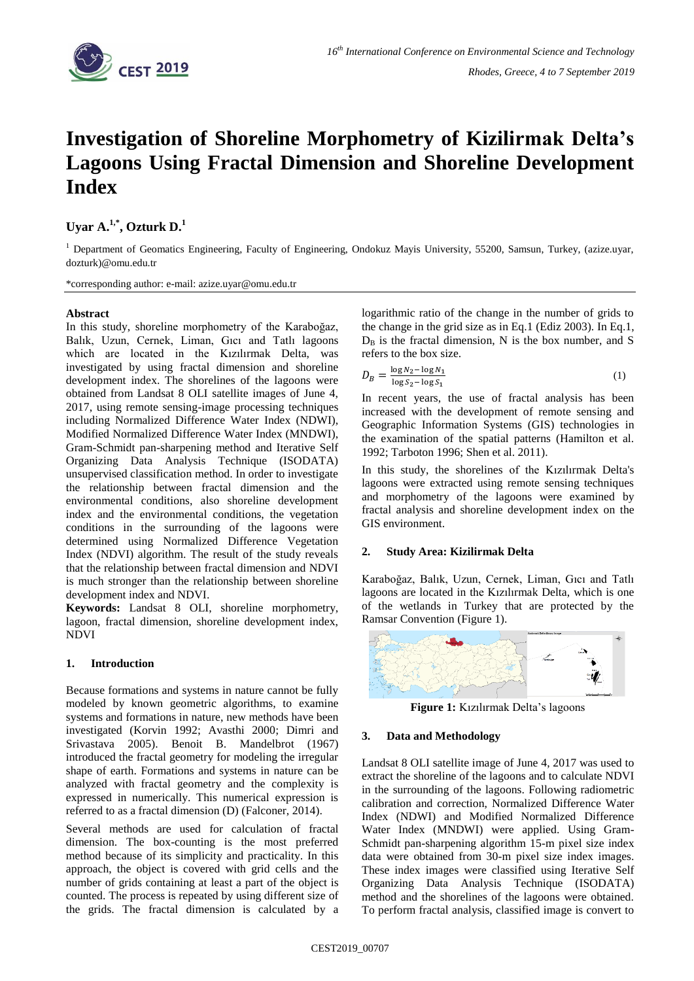

# **Investigation of Shoreline Morphometry of Kizilirmak Delta's Lagoons Using Fractal Dimension and Shoreline Development Index**

**Uyar A.1,\* , Ozturk D.<sup>1</sup>**

<sup>1</sup> Department of Geomatics Engineering, Faculty of Engineering, Ondokuz Mayis University, 55200, Samsun, Turkey, (azize.uyar, dozturk)@omu.edu.tr

\*corresponding author: e-mail: azize.uyar@omu.edu.tr

## **Abstract**

In this study, shoreline morphometry of the Karaboğaz, Balık, Uzun, Cernek, Liman, Gıcı and Tatlı lagoons which are located in the Kızılırmak Delta, was investigated by using fractal dimension and shoreline development index. The shorelines of the lagoons were obtained from Landsat 8 OLI satellite images of June 4, 2017, using remote sensing-image processing techniques including Normalized Difference Water Index (NDWI), Modified Normalized Difference Water Index (MNDWI), Gram-Schmidt pan-sharpening method and Iterative Self Organizing Data Analysis Technique (ISODATA) unsupervised classification method. In order to investigate the relationship between fractal dimension and the environmental conditions, also shoreline development index and the environmental conditions, the vegetation conditions in the surrounding of the lagoons were determined using Normalized Difference Vegetation Index (NDVI) algorithm. The result of the study reveals that the relationship between fractal dimension and NDVI is much stronger than the relationship between shoreline development index and NDVI.

**Keywords:** Landsat 8 OLI, shoreline morphometry, lagoon, fractal dimension, shoreline development index, NDVI

# **1. Introduction**

Because formations and systems in nature cannot be fully modeled by known geometric algorithms, to examine systems and formations in nature, new methods have been investigated (Korvin 1992; Avasthi 2000; Dimri and Srivastava 2005). Benoit B. Mandelbrot (1967) introduced the fractal geometry for modeling the irregular shape of earth. Formations and systems in nature can be analyzed with fractal geometry and the complexity is expressed in numerically. This numerical expression is referred to as a fractal dimension (D) (Falconer, 2014).

Several methods are used for calculation of fractal dimension. The box-counting is the most preferred method because of its simplicity and practicality. In this approach, the object is covered with grid cells and the number of grids containing at least a part of the object is counted. The process is repeated by using different size of the grids. The fractal dimension is calculated by a logarithmic ratio of the change in the number of grids to the change in the grid size as in Eq.1 (Ediz 2003). In Eq.1,  $D_B$  is the fractal dimension, N is the box number, and S refers to the box size.

$$
D_B = \frac{\log N_2 - \log N_1}{\log S_2 - \log S_1} \tag{1}
$$

In recent years, the use of fractal analysis has been increased with the development of remote sensing and Geographic Information Systems (GIS) technologies in the examination of the spatial patterns (Hamilton et al. 1992; Tarboton 1996; Shen et al. 2011).

In this study, the shorelines of the Kızılırmak Delta's lagoons were extracted using remote sensing techniques and morphometry of the lagoons were examined by fractal analysis and shoreline development index on the GIS environment.

# **2. Study Area: Kizilirmak Delta**

Karaboğaz, Balık, Uzun, Cernek, Liman, Gıcı and Tatlı lagoons are located in the Kızılırmak Delta, which is one of the wetlands in Turkey that are protected by the Ramsar Convention (Figure 1).



**Figure 1:** Kızılırmak Delta's lagoons

#### **3. Data and Methodology**

Landsat 8 OLI satellite image of June 4, 2017 was used to extract the shoreline of the lagoons and to calculate NDVI in the surrounding of the lagoons. Following radiometric calibration and correction, Normalized Difference Water Index (NDWI) and Modified Normalized Difference Water Index (MNDWI) were applied. Using Gram-Schmidt pan-sharpening algorithm 15-m pixel size index data were obtained from 30-m pixel size index images. These index images were classified using Iterative Self Organizing Data Analysis Technique (ISODATA) method and the shorelines of the lagoons were obtained. To perform fractal analysis, classified image is convert to